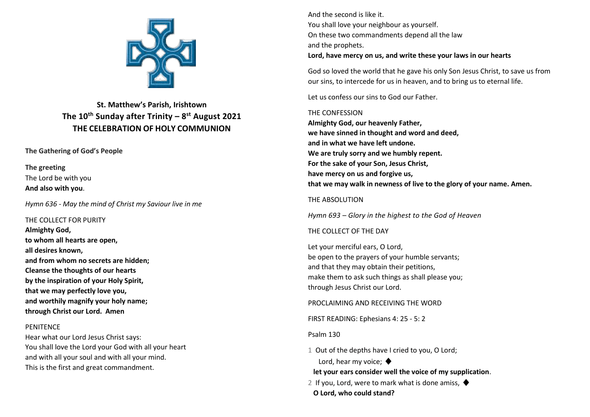

# **St. Matthew's Parish, Irishtown The 10th Sunday after Trinity – 8 st August 2021 THE CELEBRATION OF HOLY COMMUNION**

# **The Gathering of God's People**

**The greeting** The Lord be with you **And also with you**.

*Hymn 636 - May the mind of Christ my Saviour live in me*

THE COLLECT FOR PURITY **Almighty God, to whom all hearts are open, all desires known, and from whom no secrets are hidden; Cleanse the thoughts of our hearts by the inspiration of your Holy Spirit, that we may perfectly love you, and worthily magnify your holy name; through Christ our Lord. Amen**

# **PENITENCE**

Hear what our Lord Jesus Christ says: You shall love the Lord your God with all your heart and with all your soul and with all your mind. This is the first and great commandment.

And the second is like it. You shall love your neighbour as yourself. On these two commandments depend all the law and the prophets. **Lord, have mercy on us, and write these your laws in our hearts**

God so loved the world that he gave his only Son Jesus Christ, to save us from our sins, to intercede for us in heaven, and to bring us to eternal life.

Let us confess our sins to God our Father.

### THE CONFESSION

**Almighty God, our heavenly Father, we have sinned in thought and word and deed, and in what we have left undone. We are truly sorry and we humbly repent. For the sake of your Son, Jesus Christ, have mercy on us and forgive us, that we may walk in newness of live to the glory of your name. Amen.**

# THE ABSOLUTION

*Hymn 693 – Glory in the highest to the God of Heaven*

# THE COLLECT OF THE DAY

Let your merciful ears, O Lord, be open to the prayers of your humble servants; and that they may obtain their petitions, make them to ask such things as shall please you; through Jesus Christ our Lord.

PROCLAIMING AND RECEIVING THE WORD

FIRST READING: Ephesians 4: 25 - 5: 2

Psalm 130

1 Out of the depths have I cried to you, O Lord; Lord, hear my voice:  $\blacklozenge$ 

**let your ears consider well the voice of my supplication**.

- 2 If you, Lord, were to mark what is done amiss,  $\blacklozenge$
- **O Lord, who could stand?**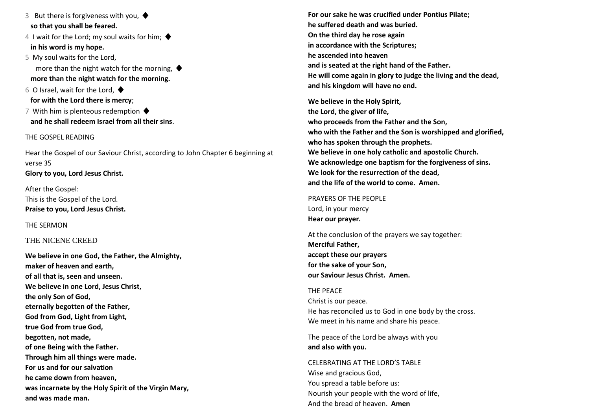3 But there is forgiveness with you,  $\blacklozenge$ **so that you shall be feared.**

4 I wait for the Lord; my soul waits for him:  $\blacklozenge$ **in his word is my hope.**

5 My soul waits for the Lord, more than the night watch for the morning,  $\blacklozenge$  **more than the night watch for the morning.**

6 O Israel, wait for the Lord,  $\blacklozenge$ **for with the Lord there is mercy**;

7 With him is plenteous redemption  $\blacklozenge$ **and he shall redeem Israel from all their sins**.

### THE GOSPEL READING

Hear the Gospel of our Saviour Christ, according to John Chapter 6 beginning at verse 35 **Glory to you, Lord Jesus Christ.**

After the Gospel: This is the Gospel of the Lord. **Praise to you, Lord Jesus Christ.**

THE SERMON

# THE NICENE CREED

**We believe in one God, the Father, the Almighty, maker of heaven and earth, of all that is, seen and unseen. We believe in one Lord, Jesus Christ, the only Son of God, eternally begotten of the Father, God from God, Light from Light, true God from true God, begotten, not made, of one Being with the Father. Through him all things were made. For us and for our salvation he came down from heaven, was incarnate by the Holy Spirit of the Virgin Mary, and was made man.**

**For our sake he was crucified under Pontius Pilate; he suffered death and was buried. On the third day he rose again in accordance with the Scriptures; he ascended into heaven and is seated at the right hand of the Father. He will come again in glory to judge the living and the dead, and his kingdom will have no end.**

**We believe in the Holy Spirit, the Lord, the giver of life, who proceeds from the Father and the Son, who with the Father and the Son is worshipped and glorified, who has spoken through the prophets. We believe in one holy catholic and apostolic Church. We acknowledge one baptism for the forgiveness of sins. We look for the resurrection of the dead, and the life of the world to come. Amen.**

PRAYERS OF THE PEOPLE Lord, in your mercy **Hear our prayer.**

At the conclusion of the prayers we say together: **Merciful Father, accept these our prayers for the sake of your Son, our Saviour Jesus Christ. Amen.**

THE PEACE Christ is our peace. He has reconciled us to God in one body by the cross. We meet in his name and share his peace.

The peace of the Lord be always with you **and also with you.**

CELEBRATING AT THE LORD'S TABLE Wise and gracious God, You spread a table before us: Nourish your people with the word of life, And the bread of heaven. **Amen**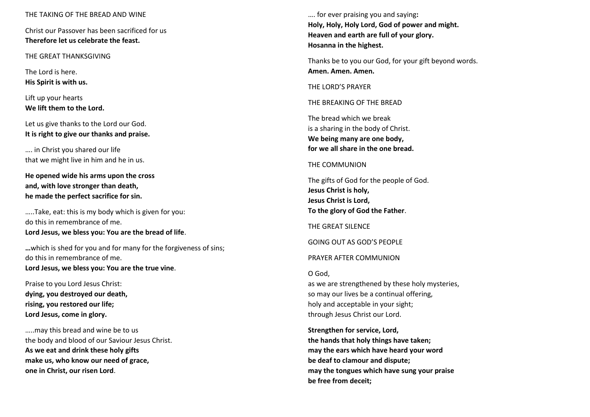#### THE TAKING OF THE BREAD AND WINE

Christ our Passover has been sacrificed for us **Therefore let us celebrate the feast.**

THE GREAT THANKSGIVING

The Lord is here. **His Spirit is with us.**

Lift up your hearts **We lift them to the Lord.**

Let us give thanks to the Lord our God. **It is right to give our thanks and praise.**

…. in Christ you shared our life that we might live in him and he in us.

**He opened wide his arms upon the cross and, with love stronger than death, he made the perfect sacrifice for sin.**

…..Take, eat: this is my body which is given for you: do this in remembrance of me. **Lord Jesus, we bless you: You are the bread of life**.

**…**which is shed for you and for many for the forgiveness of sins; do this in remembrance of me. **Lord Jesus, we bless you: You are the true vine**.

Praise to you Lord Jesus Christ: **dying, you destroyed our death, rising, you restored our life; Lord Jesus, come in glory.**

…..may this bread and wine be to us the body and blood of our Saviour Jesus Christ. **As we eat and drink these holy gifts make us, who know our need of grace, one in Christ, our risen Lord**.

…. for ever praising you and saying**: Holy, Holy, Holy Lord, God of power and might. Heaven and earth are full of your glory. Hosanna in the highest.**

Thanks be to you our God, for your gift beyond words. **Amen. Amen. Amen.**

THE LORD'S PRAYER

THE BREAKING OF THE BREAD

The bread which we break is a sharing in the body of Christ. **We being many are one body, for we all share in the one bread.**

#### THE COMMUNION

The gifts of God for the people of God. **Jesus Christ is holy, Jesus Christ is Lord, To the glory of God the Father**.

THE GREAT SILENCE

GOING OUT AS GOD'S PEOPLE

PRAYER AFTER COMMUNION

O God,

as we are strengthened by these holy mysteries, so may our lives be a continual offering, holy and acceptable in your sight; through Jesus Christ our Lord.

**Strengthen for service, Lord, the hands that holy things have taken; may the ears which have heard your word be deaf to clamour and dispute; may the tongues which have sung your praise be free from deceit;**